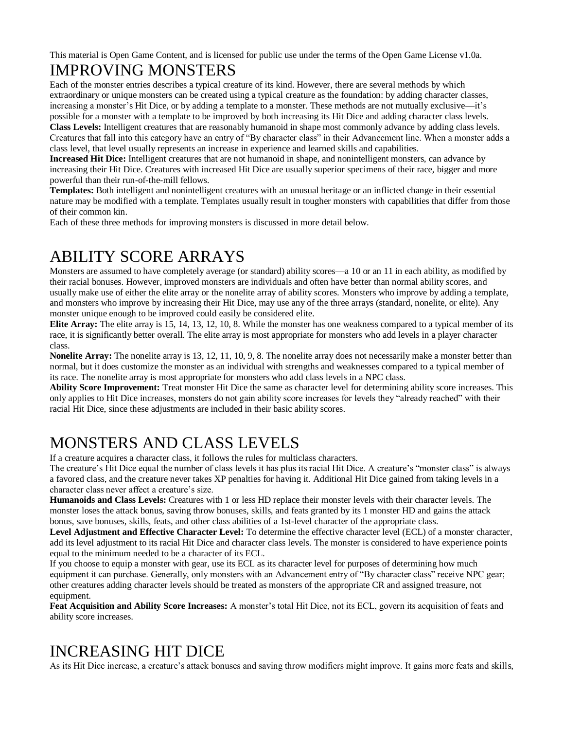This material is Open Game Content, and is licensed for public use under the terms of the Open Game License v1.0a.

## IMPROVING MONSTERS

Each of the monster entries describes a typical creature of its kind. However, there are several methods by which extraordinary or unique monsters can be created using a typical creature as the foundation: by adding character classes, increasing a monster's Hit Dice, or by adding a template to a monster. These methods are not mutually exclusive—it's possible for a monster with a template to be improved by both increasing its Hit Dice and adding character class levels.

**Class Levels:** Intelligent creatures that are reasonably humanoid in shape most commonly advance by adding class levels. Creatures that fall into this category have an entry of "By character class" in their Advancement line. When a monster adds a class level, that level usually represents an increase in experience and learned skills and capabilities.

**Increased Hit Dice:** Intelligent creatures that are not humanoid in shape, and nonintelligent monsters, can advance by increasing their Hit Dice. Creatures with increased Hit Dice are usually superior specimens of their race, bigger and more powerful than their run-of-the-mill fellows.

**Templates:** Both intelligent and nonintelligent creatures with an unusual heritage or an inflicted change in their essential nature may be modified with a template. Templates usually result in tougher monsters with capabilities that differ from those of their common kin.

Each of these three methods for improving monsters is discussed in more detail below.

# ABILITY SCORE ARRAYS

Monsters are assumed to have completely average (or standard) ability scores—a 10 or an 11 in each ability, as modified by their racial bonuses. However, improved monsters are individuals and often have better than normal ability scores, and usually make use of either the elite array or the nonelite array of ability scores. Monsters who improve by adding a template, and monsters who improve by increasing their Hit Dice, may use any of the three arrays (standard, nonelite, or elite). Any monster unique enough to be improved could easily be considered elite.

**Elite Array:** The elite array is 15, 14, 13, 12, 10, 8. While the monster has one weakness compared to a typical member of its race, it is significantly better overall. The elite array is most appropriate for monsters who add levels in a player character class.

**Nonelite Array:** The nonelite array is 13, 12, 11, 10, 9, 8. The nonelite array does not necessarily make a monster better than normal, but it does customize the monster as an individual with strengths and weaknesses compared to a typical member of its race. The nonelite array is most appropriate for monsters who add class levels in a NPC class.

**Ability Score Improvement:** Treat monster Hit Dice the same as character level for determining ability score increases. This only applies to Hit Dice increases, monsters do not gain ability score increases for levels they "already reached" with their racial Hit Dice, since these adjustments are included in their basic ability scores.

# MONSTERS AND CLASS LEVELS

If a creature acquires a character class, it follows the rules for multiclass characters*.*

The creature's Hit Dice equal the number of class levels it has plus its racial Hit Dice. A creature's "monster class" is always a favored class, and the creature never takes XP penalties for having it. Additional Hit Dice gained from taking levels in a character class never affect a creature's size.

**Humanoids and Class Levels:** Creatures with 1 or less HD replace their monster levels with their character levels. The monster loses the attack bonus, saving throw bonuses, skills, and feats granted by its 1 monster HD and gains the attack bonus, save bonuses, skills, feats, and other class abilities of a 1st-level character of the appropriate class.

**Level Adjustment and Effective Character Level:** To determine the effective character level (ECL) of a monster character, add its level adjustment to its racial Hit Dice and character class levels. The monster is considered to have experience points equal to the minimum needed to be a character of its ECL.

If you choose to equip a monster with gear, use its ECL as its character level for purposes of determining how much equipment it can purchase. Generally, only monsters with an Advancement entry of "By character class" receive NPC gear; other creatures adding character levels should be treated as monsters of the appropriate CR and assigned treasure, not equipment.

**Feat Acquisition and Ability Score Increases:** A monster's total Hit Dice, not its ECL, govern its acquisition of feats and ability score increases.

# INCREASING HIT DICE

As its Hit Dice increase, a creature's attack bonuses and saving throw modifiers might improve. It gains more feats and skills,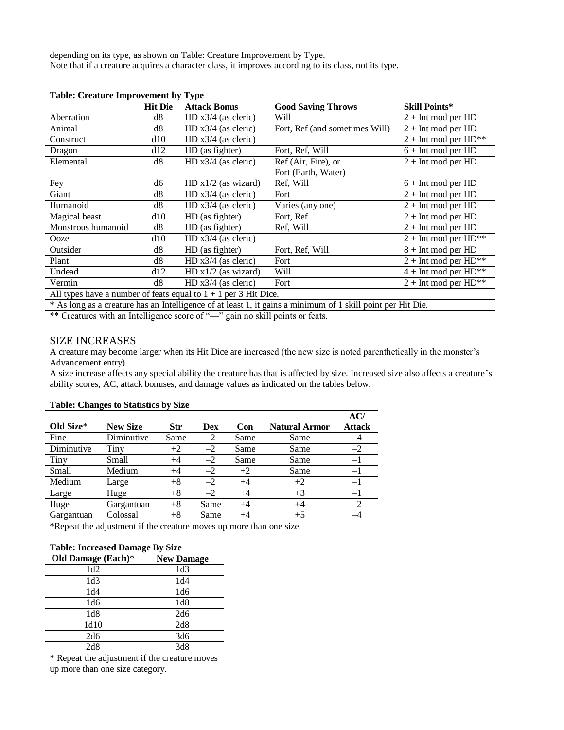depending on its type, as shown on Table: Creature Improvement by Type. Note that if a creature acquires a character class, it improves according to its class, not its type.

| Table. Creature milprovement by<br>$\mathbf{y}$                   |                |                       |                                |                             |  |  |  |
|-------------------------------------------------------------------|----------------|-----------------------|--------------------------------|-----------------------------|--|--|--|
|                                                                   | <b>Hit Die</b> | <b>Attack Bonus</b>   | <b>Good Saving Throws</b>      | <b>Skill Points*</b>        |  |  |  |
| Aberration                                                        | d8             | $HD x3/4$ (as cleric) | Will                           | $2 + Int$ mod per HD        |  |  |  |
| Animal                                                            | d8             | $HD x3/4$ (as cleric) | Fort, Ref (and sometimes Will) | $2 + Int$ mod per HD        |  |  |  |
| Construct                                                         | d10            | $HD x3/4$ (as cleric) |                                | $2 + Int$ mod per HD**      |  |  |  |
| Dragon                                                            | d12            | HD (as fighter)       | Fort, Ref, Will                | $6 + Int$ mod per HD        |  |  |  |
| Elemental                                                         | d8             | $HD x3/4$ (as cleric) | Ref (Air, Fire), or            | $2 + Int$ mod per HD        |  |  |  |
|                                                                   |                |                       | Fort (Earth, Water)            |                             |  |  |  |
| Fey                                                               | d6             | HD $x1/2$ (as wizard) | Ref, Will                      | $6 + Int$ mod per HD        |  |  |  |
| Giant                                                             | d8             | $HD x3/4$ (as cleric) | Fort                           | $2 + Int$ mod per HD        |  |  |  |
| Humanoid                                                          | d8             | $HD x3/4$ (as cleric) | Varies (any one)               | $2 + Int$ mod per HD        |  |  |  |
| Magical beast                                                     | d10            | HD (as fighter)       | Fort, Ref                      | $2 + Int$ mod per HD        |  |  |  |
| Monstrous humanoid                                                | d8             | HD (as fighter)       | Ref, Will                      | $2 + Int$ mod per HD        |  |  |  |
| Ooze                                                              | d10            | $HD x3/4$ (as cleric) |                                | $2 + Int$ mod per $HD^{**}$ |  |  |  |
| Outsider                                                          | d8             | HD (as fighter)       | Fort, Ref, Will                | $8 + Int$ mod per HD        |  |  |  |
| Plant                                                             | d8             | HD $x3/4$ (as cleric) | Fort                           | $2 + Int$ mod per $HD^{**}$ |  |  |  |
| Undead                                                            | d12            | HD $x1/2$ (as wizard) | Will                           | $4 + Int$ mod per $HD^{**}$ |  |  |  |
| Vermin                                                            | d8             | $HD x3/4$ (as cleric) | Fort                           | $2 + Int$ mod per $HD^{**}$ |  |  |  |
| All types have a number of feats equal to $1 + 1$ per 3 Hit Dice. |                |                       |                                |                             |  |  |  |

**Table: Creature Improvement by Type**

\* As long as a creature has an Intelligence of at least 1, it gains a minimum of 1 skill point per Hit Die.

\*\* Creatures with an Intelligence score of "—" gain no skill points or feats.

#### SIZE INCREASES

A creature may become larger when its Hit Dice are increased (the new size is noted parenthetically in the monster's Advancement entry).

A size increase affects any special ability the creature has that is affected by size. Increased size also affects a creature's ability scores, AC, attack bonuses, and damage values as indicated on the tables below.

|            | -               | $\cdot$    |      |         |                      |                      |
|------------|-----------------|------------|------|---------|----------------------|----------------------|
| Old Size*  | <b>New Size</b> | <b>Str</b> | Dex  | Con     | <b>Natural Armor</b> | AC/<br><b>Attack</b> |
| Fine       | Diminutive      | Same       | $-2$ | Same    | Same                 |                      |
| Diminutive | Tiny            | $+2$       | $-2$ | Same    | Same                 | $-2$                 |
| Tiny       | Small           | $^{+4}$    | $-2$ | Same    | Same                 | $-1$                 |
| Small      | Medium          | $+4$       | $-2$ | $+2$    | Same                 | $-1$                 |
| Medium     | Large           | $+8$       | $-2$ | $+4$    | $+2$                 | $-1$                 |
| Large      | Huge            | $+8$       | $-2$ | $+4$    | $+3$                 | $-1$                 |
| Huge       | Gargantuan      | $+8$       | Same | $^{+4}$ | $+4$                 | $-2$                 |
| Gargantuan | Colossal        | $+8$       | Same |         | $+5$                 |                      |

#### **Table: Changes to Statistics by Size**

\*Repeat the adjustment if the creature moves up more than one size.

### **Table: Increased Damage By Size**

| Old Damage (Each)* | <b>New Damage</b> |
|--------------------|-------------------|
| 1d2                | 1d3               |
| 1d3                | 1d4               |
| 1d4                | 1d6               |
| 1d6                | 1d8               |
| 1d8                | 2d6               |
| 1d10               | 2d8               |
| 2d6                | 3d6               |
| 2d8                | 3d8               |

\* Repeat the adjustment if the creature moves up more than one size category.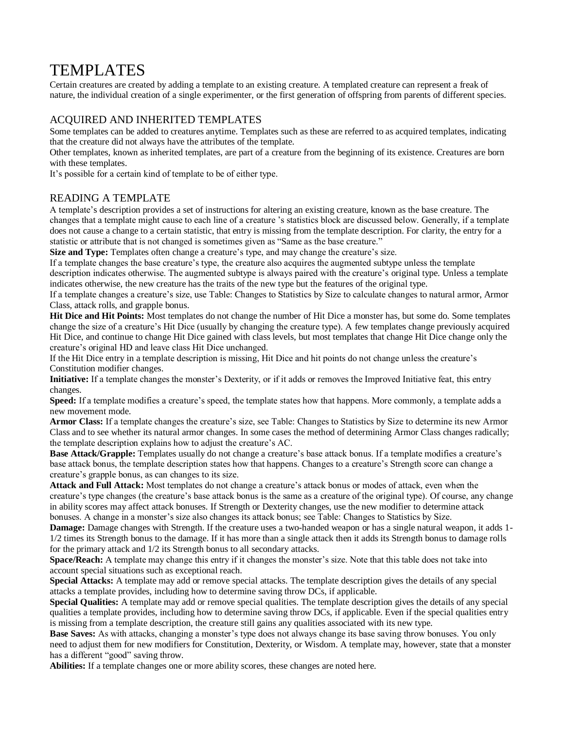## TEMPLATES

Certain creatures are created by adding a template to an existing creature. A templated creature can represent a freak of nature, the individual creation of a single experimenter, or the first generation of offspring from parents of different species.

## ACQUIRED AND INHERITED TEMPLATES

Some templates can be added to creatures anytime. Templates such as these are referred to as acquired templates, indicating that the creature did not always have the attributes of the template.

Other templates, known as inherited templates, are part of a creature from the beginning of its existence. Creatures are born with these templates.

It's possible for a certain kind of template to be of either type.

## READING A TEMPLATE

A template's description provides a set of instructions for altering an existing creature, known as the base creature. The changes that a template might cause to each line of a creature 's statistics block are discussed below. Generally, if a template does not cause a change to a certain statistic, that entry is missing from the template description. For clarity, the entry for a statistic or attribute that is not changed is sometimes given as "Same as the base creature."

**Size and Type:** Templates often change a creature's type, and may change the creature's size.

If a template changes the base creature's type, the creature also acquires the augmented subtype unless the template description indicates otherwise. The augmented subtype is always paired with the creature's original type. Unless a template indicates otherwise, the new creature has the traits of the new type but the features of the original type.

If a template changes a creature's size, use Table: Changes to Statistics by Size to calculate changes to natural armor, Armor Class, attack rolls, and grapple bonus.

**Hit Dice and Hit Points:** Most templates do not change the number of Hit Dice a monster has, but some do. Some templates change the size of a creature's Hit Dice (usually by changing the creature type). A few templates change previously acquired Hit Dice, and continue to change Hit Dice gained with class levels, but most templates that change Hit Dice change only the creature's original HD and leave class Hit Dice unchanged.

If the Hit Dice entry in a template description is missing, Hit Dice and hit points do not change unless the creature's Constitution modifier changes.

**Initiative:** If a template changes the monster's Dexterity, or if it adds or removes the Improved Initiative feat, this entry changes.

**Speed:** If a template modifies a creature's speed, the template states how that happens. More commonly, a template adds a new movement mode.

**Armor Class:** If a template changes the creature's size, see Table: Changes to Statistics by Size to determine its new Armor Class and to see whether its natural armor changes. In some cases the method of determining Armor Class changes radically; the template description explains how to adjust the creature's AC.

**Base Attack/Grapple:** Templates usually do not change a creature's base attack bonus. If a template modifies a creature's base attack bonus, the template description states how that happens. Changes to a creature's Strength score can change a creature's grapple bonus, as can changes to its size.

**Attack and Full Attack:** Most templates do not change a creature's attack bonus or modes of attack, even when the creature's type changes (the creature's base attack bonus is the same as a creature of the original type). Of course, any change in ability scores may affect attack bonuses. If Strength or Dexterity changes, use the new modifier to determine attack bonuses. A change in a monster's size also changes its attack bonus; see Table: Changes to Statistics by Size.

**Damage:** Damage changes with Strength. If the creature uses a two-handed weapon or has a single natural weapon, it adds 1-1/2 times its Strength bonus to the damage. If it has more than a single attack then it adds its Strength bonus to damage rolls for the primary attack and 1/2 its Strength bonus to all secondary attacks.

**Space/Reach:** A template may change this entry if it changes the monster's size. Note that this table does not take into account special situations such as exceptional reach.

**Special Attacks:** A template may add or remove special attacks. The template description gives the details of any special attacks a template provides, including how to determine saving throw DCs, if applicable.

**Special Qualities:** A template may add or remove special qualities. The template description gives the details of any special qualities a template provides, including how to determine saving throw DCs, if applicable. Even if the special qualities entry is missing from a template description, the creature still gains any qualities associated with its new type.

**Base Saves:** As with attacks, changing a monster's type does not always change its base saving throw bonuses. You only need to adjust them for new modifiers for Constitution, Dexterity, or Wisdom. A template may, however, state that a monster has a different "good" saving throw.

**Abilities:** If a template changes one or more ability scores, these changes are noted here.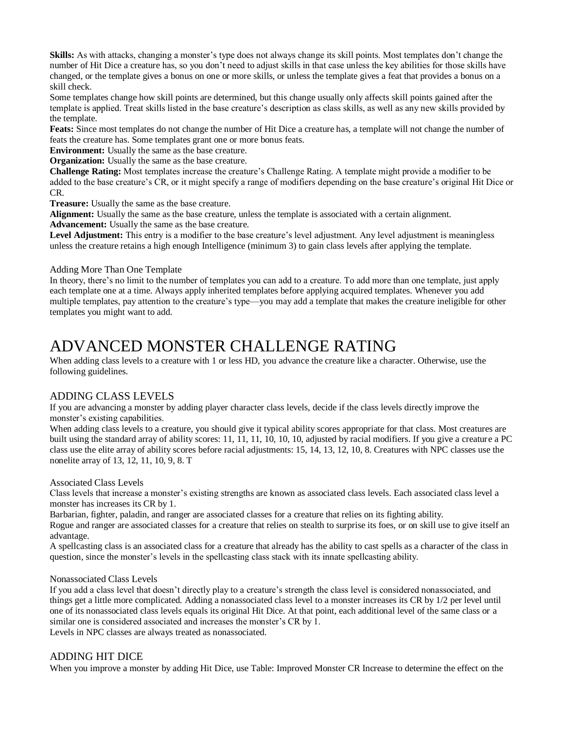**Skills:** As with attacks, changing a monster's type does not always change its skill points. Most templates don't change the number of Hit Dice a creature has, so you don't need to adjust skills in that case unless the key abilities for those skills have changed, or the template gives a bonus on one or more skills, or unless the template gives a feat that provides a bonus on a skill check.

Some templates change how skill points are determined, but this change usually only affects skill points gained after the template is applied. Treat skills listed in the base creature's description as class skills, as well as any new skills provided by the template.

**Feats:** Since most templates do not change the number of Hit Dice a creature has, a template will not change the number of feats the creature has. Some templates grant one or more bonus feats.

**Environment:** Usually the same as the base creature.

**Organization:** Usually the same as the base creature.

**Challenge Rating:** Most templates increase the creature's Challenge Rating. A template might provide a modifier to be added to the base creature's CR, or it might specify a range of modifiers depending on the base creature's original Hit Dice or CR.

**Treasure:** Usually the same as the base creature.

**Alignment:** Usually the same as the base creature, unless the template is associated with a certain alignment. **Advancement:** Usually the same as the base creature.

Level Adjustment: This entry is a modifier to the base creature's level adjustment. Any level adjustment is meaningless unless the creature retains a high enough Intelligence (minimum 3) to gain class levels after applying the template.

#### Adding More Than One Template

In theory, there's no limit to the number of templates you can add to a creature. To add more than one template, just apply each template one at a time. Always apply inherited templates before applying acquired templates. Whenever you add multiple templates, pay attention to the creature's type—you may add a template that makes the creature ineligible for other templates you might want to add.

## ADVANCED MONSTER CHALLENGE RATING

When adding class levels to a creature with 1 or less HD, you advance the creature like a character. Otherwise, use the following guidelines.

## ADDING CLASS LEVELS

If you are advancing a monster by adding player character class levels, decide if the class levels directly improve the monster's existing capabilities.

When adding class levels to a creature, you should give it typical ability scores appropriate for that class. Most creatures are built using the standard array of ability scores: 11, 11, 11, 10, 10, 10, adjusted by racial modifiers. If you give a creature a PC class use the elite array of ability scores before racial adjustments: 15, 14, 13, 12, 10, 8. Creatures with NPC classes use the nonelite array of 13, 12, 11, 10, 9, 8. T

Associated Class Levels

Class levels that increase a monster's existing strengths are known as associated class levels. Each associated class level a monster has increases its CR by 1.

Barbarian, fighter, paladin, and ranger are associated classes for a creature that relies on its fighting ability.

Rogue and ranger are associated classes for a creature that relies on stealth to surprise its foes, or on skill use to give itself an advantage.

A spellcasting class is an associated class for a creature that already has the ability to cast spells as a character of the class in question, since the monster's levels in the spellcasting class stack with its innate spellcasting ability.

#### Nonassociated Class Levels

If you add a class level that doesn't directly play to a creature's strength the class level is considered nonassociated, and things get a little more complicated*.* Adding a nonassociated class level to a monster increases its CR by 1/2 per level until one of its nonassociated class levels equals its original Hit Dice. At that point, each additional level of the same class or a similar one is considered associated and increases the monster's CR by 1. Levels in NPC classes are always treated as nonassociated.

## ADDING HIT DICE

When you improve a monster by adding Hit Dice, use Table: Improved Monster CR Increase to determine the effect on the